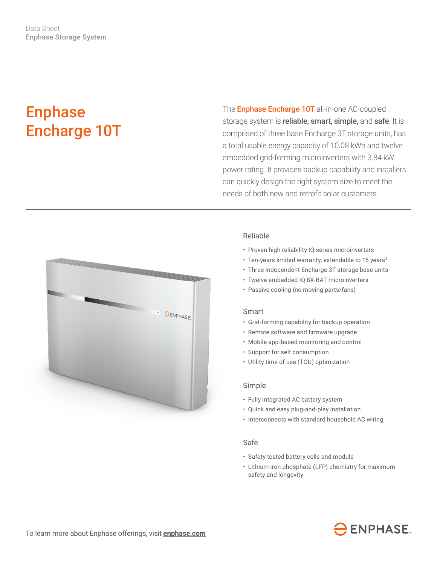# Enphase Encharge 10T

The **Enphase Encharge 10T** all-in-one AC-coupled storage system is reliable, smart, simple, and safe. It is comprised of three base Encharge 3T storage units, has a total usable energy capacity of 10.08 kWh and twelve embedded grid-forming microinverters with 3.84 kW power rating. It provides backup capability and installers can quickly design the right system size to meet the needs of both new and retrofit solar customers.



## Reliable

- Proven high reliability IQ series microinverters
- Ten-years limited warranty, extendable to 15 years<sup>4</sup>
- Three independent Encharge 3T storage base units
- Twelve embedded IQ 8X-BAT microinverters
- Passive cooling (no moving parts/fans)

#### Smart

- Grid-forming capability for backup operation
- • Remote software and firmware upgrade
- Mobile app-based monitoring and control
- Support for self consumption
- Utility time of use (TOU) optimization

### Simple

- Fully integrated AC battery system
- Quick and easy plug-and-play installation
- Interconnects with standard household AC wiring

### Safe

- Safety tested battery cells and module
- Lithium iron phosphate (LFP) chemistry for maximum safety and longevity